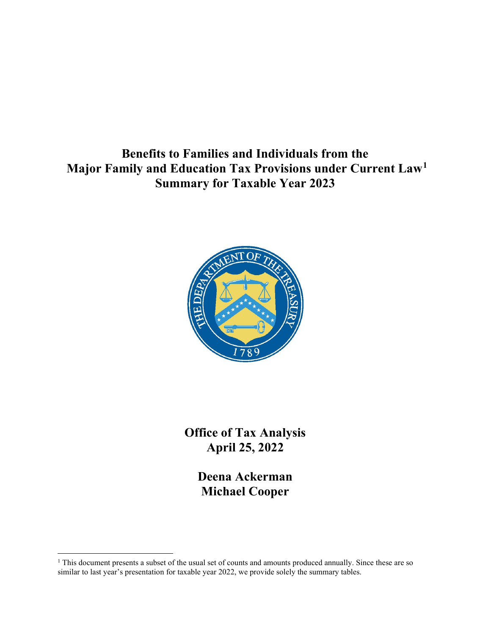Benefits to Families and Individuals from the Major Family and Education Tax Provisions under Current Law<sup>1</sup> Summary for Taxable Year 2023



Office of Tax Analysis April 25, 2022

> Deena Ackerman Michael Cooper

<sup>&</sup>lt;sup>1</sup> This document presents a subset of the usual set of counts and amounts produced annually. Since these are so similar to last year's presentation for taxable year 2022, we provide solely the summary tables.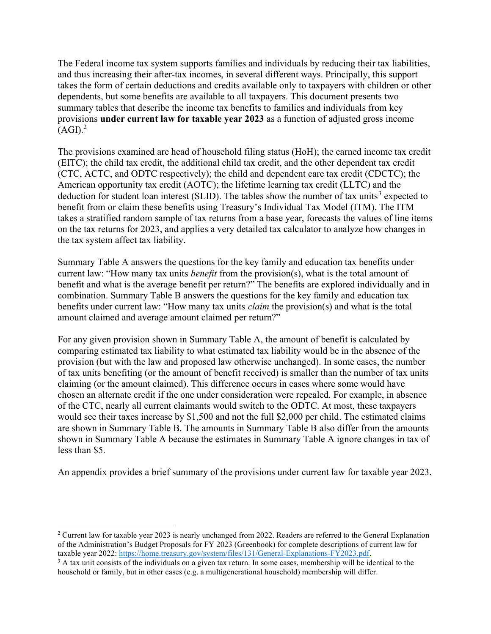The Federal income tax system supports families and individuals by reducing their tax liabilities, and thus increasing their after-tax incomes, in several different ways. Principally, this support takes the form of certain deductions and credits available only to taxpayers with children or other dependents, but some benefits are available to all taxpayers. This document presents two summary tables that describe the income tax benefits to families and individuals from key provisions under current law for taxable year 2023 as a function of adjusted gross income  $(AGI).<sup>2</sup>$ 

The provisions examined are head of household filing status (HoH); the earned income tax credit (EITC); the child tax credit, the additional child tax credit, and the other dependent tax credit (CTC, ACTC, and ODTC respectively); the child and dependent care tax credit (CDCTC); the American opportunity tax credit (AOTC); the lifetime learning tax credit (LLTC) and the deduction for student loan interest (SLID). The tables show the number of tax units<sup>3</sup> expected to benefit from or claim these benefits using Treasury's Individual Tax Model (ITM). The ITM takes a stratified random sample of tax returns from a base year, forecasts the values of line items on the tax returns for 2023, and applies a very detailed tax calculator to analyze how changes in the tax system affect tax liability.

Summary Table A answers the questions for the key family and education tax benefits under current law: "How many tax units *benefit* from the provision(s), what is the total amount of benefit and what is the average benefit per return?" The benefits are explored individually and in combination. Summary Table B answers the questions for the key family and education tax benefits under current law: "How many tax units *claim* the provision(s) and what is the total amount claimed and average amount claimed per return?"

For any given provision shown in Summary Table A, the amount of benefit is calculated by comparing estimated tax liability to what estimated tax liability would be in the absence of the provision (but with the law and proposed law otherwise unchanged). In some cases, the number of tax units benefiting (or the amount of benefit received) is smaller than the number of tax units claiming (or the amount claimed). This difference occurs in cases where some would have chosen an alternate credit if the one under consideration were repealed. For example, in absence of the CTC, nearly all current claimants would switch to the ODTC. At most, these taxpayers would see their taxes increase by \$1,500 and not the full \$2,000 per child. The estimated claims are shown in Summary Table B. The amounts in Summary Table B also differ from the amounts shown in Summary Table A because the estimates in Summary Table A ignore changes in tax of less than \$5.

An appendix provides a brief summary of the provisions under current law for taxable year 2023.

<sup>&</sup>lt;sup>2</sup> Current law for taxable year 2023 is nearly unchanged from 2022. Readers are referred to the General Explanation of the Administration's Budget Proposals for FY 2023 (Greenbook) for complete descriptions of current law for taxable year 2022: https://home.treasury.gov/system/files/131/General-Explanations-FY2023.pdf.

<sup>&</sup>lt;sup>3</sup> A tax unit consists of the individuals on a given tax return. In some cases, membership will be identical to the household or family, but in other cases (e.g. a multigenerational household) membership will differ.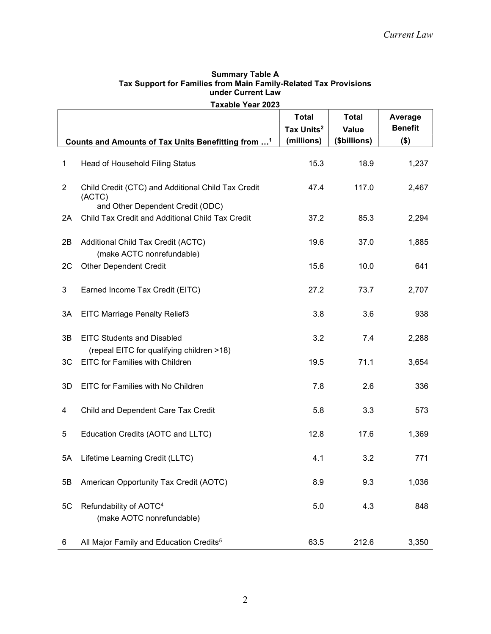| <b>Taxable Year 2023</b> |                                                                                                  |                                                      |                                       |                                      |  |  |
|--------------------------|--------------------------------------------------------------------------------------------------|------------------------------------------------------|---------------------------------------|--------------------------------------|--|--|
|                          | Counts and Amounts of Tax Units Benefitting from <sup>1</sup>                                    | <b>Total</b><br>Tax Units <sup>2</sup><br>(millions) | <b>Total</b><br>Value<br>(\$billions) | Average<br><b>Benefit</b><br>$($ \$) |  |  |
|                          |                                                                                                  |                                                      |                                       |                                      |  |  |
| 1                        | Head of Household Filing Status                                                                  | 15.3                                                 | 18.9                                  | 1,237                                |  |  |
| $\overline{2}$           | Child Credit (CTC) and Additional Child Tax Credit<br>(ACTC)<br>and Other Dependent Credit (ODC) | 47.4                                                 | 117.0                                 | 2,467                                |  |  |
| 2A                       | Child Tax Credit and Additional Child Tax Credit                                                 | 37.2                                                 | 85.3                                  | 2,294                                |  |  |
| 2B                       | Additional Child Tax Credit (ACTC)<br>(make ACTC nonrefundable)                                  | 19.6                                                 | 37.0                                  | 1,885                                |  |  |
| 2C                       | <b>Other Dependent Credit</b>                                                                    | 15.6                                                 | 10.0                                  | 641                                  |  |  |
| 3                        | Earned Income Tax Credit (EITC)                                                                  | 27.2                                                 | 73.7                                  | 2,707                                |  |  |
| 3A                       | <b>EITC Marriage Penalty Relief3</b>                                                             | 3.8                                                  | 3.6                                   | 938                                  |  |  |
| 3B                       | <b>EITC Students and Disabled</b><br>(repeal EITC for qualifying children >18)                   | 3.2                                                  | 7.4                                   | 2,288                                |  |  |
| 3C                       | EITC for Families with Children                                                                  | 19.5                                                 | 71.1                                  | 3,654                                |  |  |
| 3D                       | EITC for Families with No Children                                                               | 7.8                                                  | 2.6                                   | 336                                  |  |  |
| 4                        | Child and Dependent Care Tax Credit                                                              | 5.8                                                  | 3.3                                   | 573                                  |  |  |
| 5                        | Education Credits (AOTC and LLTC)                                                                | 12.8                                                 | 17.6                                  | 1,369                                |  |  |
|                          | 5A Lifetime Learning Credit (LLTC)                                                               | 4.1                                                  | 3.2                                   | 771                                  |  |  |
| 5B                       | American Opportunity Tax Credit (AOTC)                                                           | 8.9                                                  | 9.3                                   | 1,036                                |  |  |
| 5C                       | Refundability of AOTC <sup>4</sup><br>(make AOTC nonrefundable)                                  | 5.0                                                  | 4.3                                   | 848                                  |  |  |
| 6                        | All Major Family and Education Credits <sup>5</sup>                                              | 63.5                                                 | 212.6                                 | 3,350                                |  |  |

## Summary Table A Tax Support for Families from Main Family-Related Tax Provisions under Current Law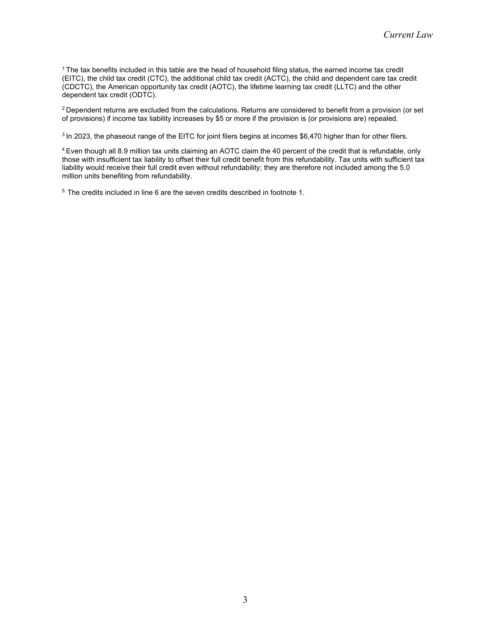<sup>1</sup> The tax benefits included in this table are the head of household filing status, the earned income tax credit (EITC), the child tax credit (CTC), the additional child tax credit (ACTC), the child and dependent care tax credit (CDCTC), the American opportunity tax credit (AOTC), the lifetime learning tax credit (LLTC) and the other dependent tax credit (ODTC).

 $2$  Dependent returns are excluded from the calculations. Returns are considered to benefit from a provision (or set of provisions) if income tax liability increases by \$5 or more if the provision is (or provisions are) repealed.

<sup>3</sup> In 2023, the phaseout range of the EITC for joint filers begins at incomes \$6,470 higher than for other filers.

<sup>4</sup>Even though all 8.9 million tax units claiming an AOTC claim the 40 percent of the credit that is refundable, only those with insufficient tax liability to offset their full credit benefit from this refundability. Tax units with sufficient tax liability would receive their full credit even without refundability; they are therefore not included among the 5.0 million units benefiting from refundability.

5. The credits included in line 6 are the seven credits described in footnote 1.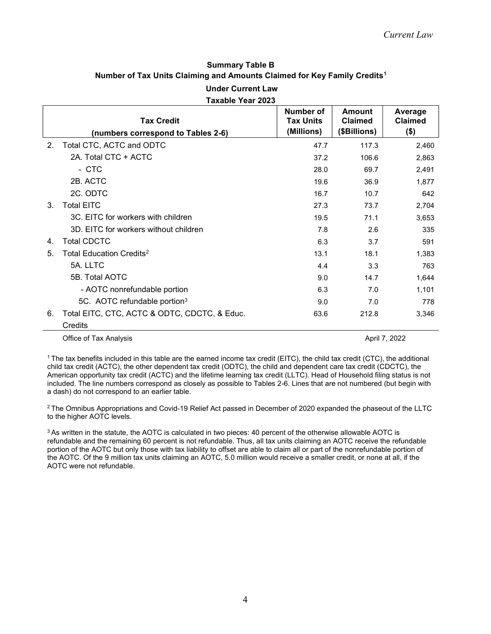## Summary Table B Number of Tax Units Claiming and Amounts Claimed for Key Family Credits<sup>1</sup>

Under Current Law Taxable Year 2023

|                | <b>Tax Credit</b><br>(numbers correspond to Tables 2-6) | Number of<br><b>Tax Units</b><br>(Millions) | Amount<br><b>Claimed</b><br>(\$Billions) | Average<br><b>Claimed</b><br>\$) |
|----------------|---------------------------------------------------------|---------------------------------------------|------------------------------------------|----------------------------------|
| 2 <sub>1</sub> | Total CTC, ACTC and ODTC                                | 47.7                                        | 117.3                                    | 2,460                            |
|                | 2A. Total CTC + ACTC                                    | 37.2                                        | 106.6                                    | 2,863                            |
|                | - стс                                                   | 28.0                                        | 69.7                                     | 2,491                            |
|                | 2B. ACTC                                                | 19.6                                        | 36.9                                     | 1,877                            |
|                | 2C. ODTC                                                | 16.7                                        | 10.7                                     | 642                              |
| 3.             | <b>Total EITC</b>                                       | 27.3                                        | 73.7                                     | 2,704                            |
|                | 3C. EITC for workers with children                      | 19.5                                        | 71.1                                     | 3,653                            |
|                | 3D. EITC for workers without children                   | 7.8                                         | 2.6                                      | 335                              |
| 4.             | <b>Total CDCTC</b>                                      | 6.3                                         | 3.7                                      | 591                              |
| 5.             | Total Education Credits <sup>2</sup>                    | 13.1                                        | 18.1                                     | 1,383                            |
|                | 5A. LLTC                                                | 4.4                                         | 3.3                                      | 763                              |
|                | 5B. Total AOTC                                          | 9.0                                         | 14.7                                     | 1,644                            |
|                | - AOTC nonrefundable portion                            | 6.3                                         | 7.0                                      | 1,101                            |
|                | 5C. AOTC refundable portion <sup>3</sup>                | 9.0                                         | 7.0                                      | 778                              |
| 6.             | Total EITC, CTC, ACTC & ODTC, CDCTC, & Educ.            | 63.6                                        | 212.8                                    | 3,346                            |
|                | Credits                                                 |                                             |                                          |                                  |

Office of Tax Analysis **April 7, 2022** 

<sup>1</sup> The tax benefits included in this table are the earned income tax credit (EITC), the child tax credit (CTC), the additional child tax credit (ACTC), the other dependent tax credit (ODTC), the child and dependent care tax credit (CDCTC), the American opportunity tax credit (ACTC) and the lifetime learning tax credit (LLTC). Head of Household filing status is not included. The line numbers correspond as closely as possible to Tables 2-6. Lines that are not numbered (but begin with a dash) do not correspond to an earlier table.

<sup>2</sup> The Omnibus Appropriations and Covid-19 Relief Act passed in December of 2020 expanded the phaseout of the LLTC to the higher AOTC levels.

<sup>3</sup> As written in the statute, the AOTC is calculated in two pieces: 40 percent of the otherwise allowable AOTC is refundable and the remaining 60 percent is not refundable. Thus, all tax units claiming an AOTC receive the refundable portion of the AOTC but only those with tax liability to offset are able to claim all or part of the nonrefundable portion of the AOTC. Of the 9 million tax units claiming an AOTC, 5.0 million would receive a smaller credit, or none at all, if the AOTC were not refundable.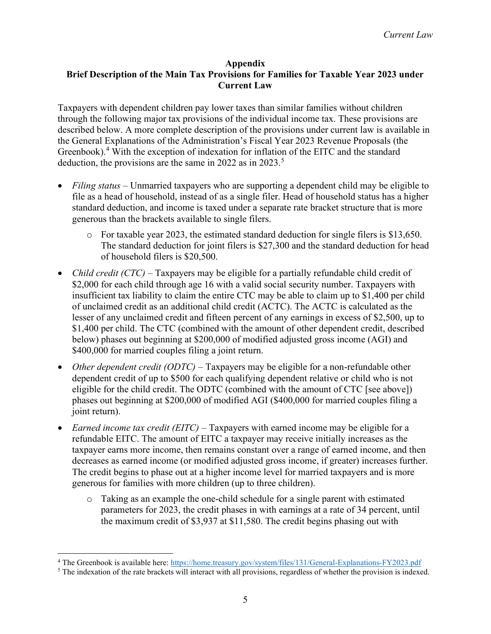## Appendix

## Brief Description of the Main Tax Provisions for Families for Taxable Year 2023 under Current Law

Taxpayers with dependent children pay lower taxes than similar families without children through the following major tax provisions of the individual income tax. These provisions are described below. A more complete description of the provisions under current law is available in the General Explanations of the Administration's Fiscal Year 2023 Revenue Proposals (the Greenbook).<sup>4</sup> With the exception of indexation for inflation of the EITC and the standard deduction, the provisions are the same in 2022 as in 2023.<sup>5</sup>

- Filing status Unmarried taxpayers who are supporting a dependent child may be eligible to file as a head of household, instead of as a single filer. Head of household status has a higher standard deduction, and income is taxed under a separate rate bracket structure that is more generous than the brackets available to single filers.
	- $\circ$  For taxable year 2023, the estimated standard deduction for single filers is \$13,650. The standard deduction for joint filers is \$27,300 and the standard deduction for head of household filers is \$20,500.
- *Child credit (CTC)* Taxpayers may be eligible for a partially refundable child credit of \$2,000 for each child through age 16 with a valid social security number. Taxpayers with insufficient tax liability to claim the entire CTC may be able to claim up to \$1,400 per child of unclaimed credit as an additional child credit (ACTC). The ACTC is calculated as the lesser of any unclaimed credit and fifteen percent of any earnings in excess of \$2,500, up to \$1,400 per child. The CTC (combined with the amount of other dependent credit, described below) phases out beginning at \$200,000 of modified adjusted gross income (AGI) and \$400,000 for married couples filing a joint return.
- Other dependent credit (ODTC) Taxpayers may be eligible for a non-refundable other dependent credit of up to \$500 for each qualifying dependent relative or child who is not eligible for the child credit. The ODTC (combined with the amount of CTC [see above]) phases out beginning at \$200,000 of modified AGI (\$400,000 for married couples filing a joint return).
- Earned income tax credit (EITC) Taxpayers with earned income may be eligible for a refundable EITC. The amount of EITC a taxpayer may receive initially increases as the taxpayer earns more income, then remains constant over a range of earned income, and then decreases as earned income (or modified adjusted gross income, if greater) increases further. The credit begins to phase out at a higher income level for married taxpayers and is more generous for families with more children (up to three children).
	- o Taking as an example the one-child schedule for a single parent with estimated parameters for 2023, the credit phases in with earnings at a rate of 34 percent, until the maximum credit of \$3,937 at \$11,580. The credit begins phasing out with

<sup>&</sup>lt;sup>4</sup> The Greenbook is available here: https://home.treasury.gov/system/files/131/General-Explanations-FY2023.pdf

 $<sup>5</sup>$  The indexation of the rate brackets will interact with all provisions, regardless of whether the provision is indexed.</sup>